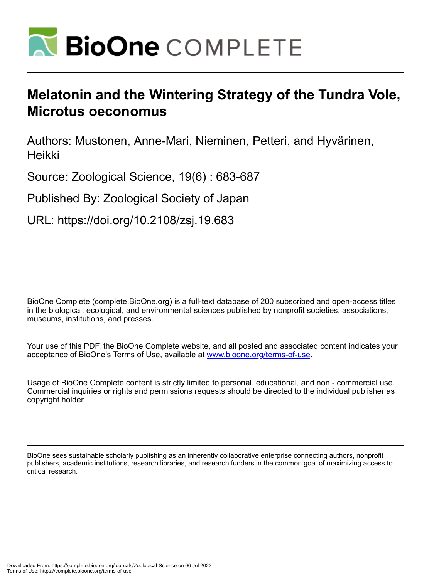

# **Melatonin and the Wintering Strategy of the Tundra Vole, Microtus oeconomus**

Authors: Mustonen, Anne-Mari, Nieminen, Petteri, and Hyvärinen, Heikki

Source: Zoological Science, 19(6) : 683-687

Published By: Zoological Society of Japan

URL: https://doi.org/10.2108/zsj.19.683

BioOne Complete (complete.BioOne.org) is a full-text database of 200 subscribed and open-access titles in the biological, ecological, and environmental sciences published by nonprofit societies, associations, museums, institutions, and presses.

Your use of this PDF, the BioOne Complete website, and all posted and associated content indicates your acceptance of BioOne's Terms of Use, available at www.bioone.org/terms-of-use.

Usage of BioOne Complete content is strictly limited to personal, educational, and non - commercial use. Commercial inquiries or rights and permissions requests should be directed to the individual publisher as copyright holder.

BioOne sees sustainable scholarly publishing as an inherently collaborative enterprise connecting authors, nonprofit publishers, academic institutions, research libraries, and research funders in the common goal of maximizing access to critical research.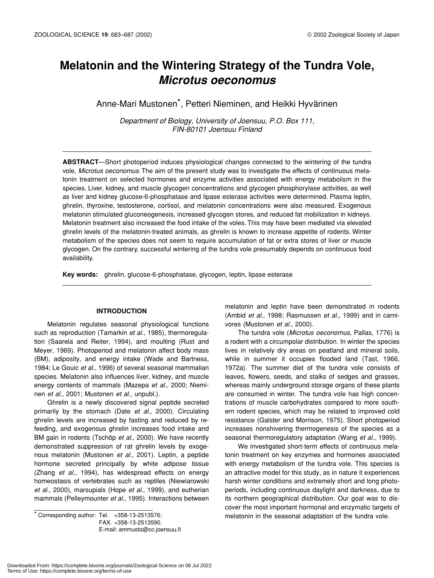# **Melatonin and the Wintering Strategy of the Tundra Vole,** *Microtus oeconomus*

Anne-Mari Mustonen\*, Petteri Nieminen, and Heikki Hyvärinen

*Department of Biology, University of Joensuu, P.O. Box 111, FIN-80101 Joensuu Finland*

**ABSTRACT**—Short photoperiod induces physiological changes connected to the wintering of the tundra vole, *Microtus oeconomus*. The aim of the present study was to investigate the effects of continuous melatonin treatment on selected hormones and enzyme activities associated with energy metabolism in the species. Liver, kidney, and muscle glycogen concentrations and glycogen phosphorylase activities, as well as liver and kidney glucose-6-phosphatase and lipase esterase activities were determined. Plasma leptin, ghrelin, thyroxine, testosterone, cortisol, and melatonin concentrations were also measured. Exogenous melatonin stimulated gluconeogenesis, increased glycogen stores, and reduced fat mobilization in kidneys. Melatonin treatment also increased the food intake of the voles. This may have been mediated via elevated ghrelin levels of the melatonin-treated animals, as ghrelin is known to increase appetite of rodents. Winter metabolism of the species does not seem to require accumulation of fat or extra stores of liver or muscle glycogen. On the contrary, successful wintering of the tundra vole presumably depends on continuous food availability.

**Key words:** ghrelin, glucose-6-phosphatase, glycogen, leptin, lipase esterase

# **INTRODUCTION**

Melatonin regulates seasonal physiological functions such as reproduction (Tamarkin *et al.,* 1985), thermoregulation (Saarela and Reiter, 1994), and moulting (Rust and Meyer, 1969). Photoperiod and melatonin affect body mass (BM), adiposity, and energy intake (Wade and Bartness, 1984; Le Gouic *et al*., 1996) of several seasonal mammalian species. Melatonin also influences liver, kidney, and muscle energy contents of mammals (Mazepa *et al.,* 2000; Nieminen *et al.,* 2001; Mustonen *et al.*, unpubl.).

Ghrelin is a newly discovered signal peptide secreted primarily by the stomach (Date *et al.,* 2000). Circulating ghrelin levels are increased by fasting and reduced by refeeding, and exogenous ghrelin increases food intake and BM gain in rodents (Tschöp *et al.,* 2000). We have recently demonstrated suppression of rat ghrelin levels by exogenous melatonin (Mustonen *et al.,* 2001). Leptin, a peptide hormone secreted principally by white adipose tissue (Zhang *et al.,* 1994), has widespread effects on energy homeostasis of vertebrates such as reptiles (Niewiarowski *et al.,* 2000), marsupials (Hope *et al.,* 1999), and eutherian mammals (Pelleymounter *et al.,* 1995). Interactions between

FAX. +358-13-2513590. E-mail: ammusto@cc.joensuu.fi melatonin and leptin have been demonstrated in rodents (Ambid *et al.,* 1998; Rasmussen *et al.,* 1999) and in carnivores (Mustonen *et al.,* 2000).

The tundra vole (*Microtus oeconomus*, Pallas, 1776) is a rodent with a circumpolar distribution. In winter the species lives in relatively dry areas on peatland and mineral soils, while in summer it occupies flooded land (Tast, 1966, 1972a). The summer diet of the tundra vole consists of leaves, flowers, seeds, and stalks of sedges and grasses, whereas mainly underground storage organs of these plants are consumed in winter. The tundra vole has high concentrations of muscle carbohydrates compared to more southern rodent species, which may be related to improved cold resistance (Galster and Morrison, 1975). Short photoperiod increases nonshivering thermogenesis of the species as a seasonal thermoregulatory adaptation (Wang *et al.,* 1999).

We investigated short-term effects of continuous melatonin treatment on key enzymes and hormones associated with energy metabolism of the tundra vole. This species is an attractive model for this study, as in nature it experiences harsh winter conditions and extremely short and long photoperiods, including continuous daylight and darkness, due to its northern geographical distribution. Our goal was to discover the most important hormonal and enzymatic targets of \* Corresponding author: Tel. +358-13-2513576; extending the distribution and approximate vole.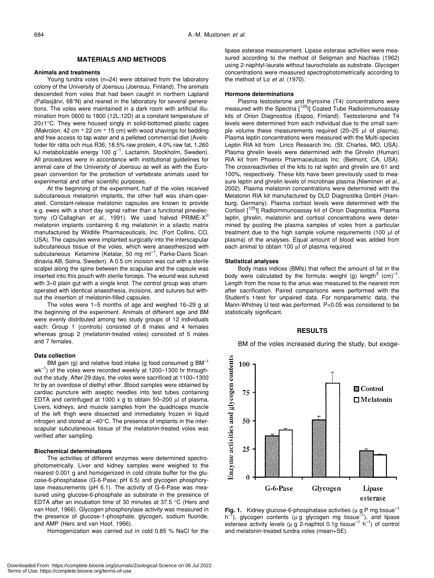# **MATERIALS AND METHODS**

# **Animals and treatments**

Young tundra voles (n=24) were obtained from the laboratory colony of the University of Joensuu (Joensuu, Finland). The animals descended from voles that had been caught in northern Lapland (Pallasjärvi, 68°N) and reared in the laboratory for several generations. The voles were maintained in a dark room with artificial illumination from 0600 to 1800 (12L:12D) at a constant temperature of 20±1°C. They were housed singly in solid-bottomed plastic cages (Makrolon; 42 cm \* 22 cm \* 15 cm) with wood shavings for bedding and free access to tap water and a pelleted commercial diet (Avelsfoder för råtta och mus R36; 18.5% raw protein, 4.0% raw fat, 1,260 kJ metabolizable energy 100  $g^{-1}$ , Lactamin, Stockholm, Sweden). All procedures were in accordance with institutional guidelines for animal care of the University of Joensuu as well as with the European convention for the protection of vertebrate animals used for experimental and other scientific purposes.

At the beginning of the experiment, half of the voles received subcutaneous melatonin implants, the other half was sham-operated. Constant-release melatonin capsules are known to provide e.g. ewes with a short day signal rather than a functional pinealectomy (O´Callaghan *et al.,* 1991). We used halved PRIME-X® melatonin implants containing 6 mg melatonin in a silastic matrix manufactured by Wildlife Pharmaceuticals, Inc. (Fort Collins, CO, USA). The capsules were implanted surgically into the interscapular subcutaneous tissue of the voles, which were anaesthesized with subcutaneous Ketamine (Ketalar, 50 mg m $I^{-1}$ , Parke-Davis Scandinavia AB, Solna, Sweden). A 0.5 cm incision was cut with a sterile scalpel along the spine between the scapulae and the capsule was inserted into this pouch with sterile forceps. The wound was sutured with 3–0 plain gut with a single knot. The control group was shamoperated with identical anaesthesia, incisions, and sutures but without the insertion of melatonin-filled capsules.

The voles were 1–5 months of age and weighed 16–29 g at the beginning of the experiment. Animals of different age and BM were evenly distributed among two study groups of 12 individuals each: Group 1 (controls) consisted of 8 males and 4 females whereas group 2 (melatonin-treated voles) consisted of 5 males and 7 females.

#### **Data collection**

BM gain (g) and relative food intake (g food consumed  $g$  BM $^{-1}$ wk<sup>-1</sup>) of the voles were recorded weekly at 1200-1300 hr throughout the study. After 29 days, the voles were sacrificed at 1100–1300 hr by an overdose of diethyl ether. Blood samples were obtained by cardiac puncture with aseptic needles into test tubes containing EDTA and centrifuged at 1000 x g to obtain 50–200  $\mu$ l of plasma. Livers, kidneys, and muscle samples from the quadriceps muscle of the left thigh were dissected and immediately frozen in liquid nitrogen and stored at –40°C. The presence of implants in the interscapular subcutaneous tissue of the melatonin-treated voles was verified after sampling.

#### **Biochemical determinations**

The activities of different enzymes were determined spectrophotometrically. Liver and kidney samples were weighed to the nearest 0.001 g and homogenized in cold citrate buffer for the glucose-6-phosphatase (G-6-Pase; pH 6.5) and glycogen phosphorylase measurements (pH 6.1). The activity of G-6-Pase was measured using glucose-6-phosphate as substrate in the presence of EDTA after an incubation time of 30 minutes at 37.5 °C (Hers and van Hoof, 1966). Glycogen phosphorylase activity was measured in the presence of glucose-1-phosphate, glycogen, sodium fluoride, and AMP (Hers and van Hoof, 1966).

Homogenization was carried out in cold 0.85 % NaCl for the

lipase esterase measurement. Lipase esterase activities were measured according to the method of Seligman and Nachlas (1962) using 2-naphtyl-laurate without taurocholate as substrate. Glycogen concentrations were measured spectrophotometrically according to the method of Lo *et al.* (1970).

#### **Hormone determinations**

Plasma testosterone and thyroxine (T4) concentrations were measured with the Spectria [<sup>125</sup>I] Coated Tube Radioimmunoassay kits of Orion Diagnostica (Espoo, Finland). Testosterone and T4 levels were determined from each individual due to the small sample volume these measurements required (20–25 µl of plasma). Plasma leptin concentrations were measured with the Multi-species Leptin RIA kit from Linco Research Inc. (St. Charles, MO, USA). Plasma ghrelin levels were determined with the Ghrelin (Human) RIA kit from Phoenix Pharmaceuticals Inc. (Belmont, CA, USA). The crossreactivities of the kits to rat leptin and ghrelin are 61 and 100%, respectively. These kits have been previously used to measure leptin and ghrelin levels of microtinae plasma (Nieminen *et al.*, 2002). Plasma melatonin concentrations were determined with the Melatonin RIA kit manufactured by DLD Diagnostika GmbH (Hamburg, Germany). Plasma cortisol levels were determined with the Cortisol [125I] Radioimmunoassay kit of Orion Diagnostica. Plasma leptin, ghrelin, melatonin and cortisol concentrations were determined by pooling the plasma samples of voles from a particular treatment due to the high sample volume requirements (100 µl of plasma) of the analyses. Equal amount of blood was added from each animal to obtain 100 µl of plasma required.

#### **Statistical analyses**

Body mass indices (BMIs) that reflect the amount of fat in the body were calculated by the formula: weight (g) length<sup>3</sup> (cm)<sup>-1</sup>. Length from the nose to the anus was measured to the nearest mm after sacrification. Paired comparisons were performed with the Student's t-test for unpaired data. For nonparametric data, the Mann-Whitney U test was performed. P<0.05 was considered to be statistically significant.

### **RESULTS**

BM of the voles increased during the study, but exoge-



**Fig. 1.** Kidney glucose-6-phosphatase activities ( $\mu$  g P mg tissue<sup>-1</sup>  $h^{-1}$ ), glycogen contents ( $\mu$  g glycogen mg tissue<sup>-1</sup>), and lipase esterase activity levels ( $\mu$  g 2-naphtol 0.1g tissue<sup>-1</sup> h<sup>-1</sup>) of control and melatonin-treated tundra voles (mean+SE).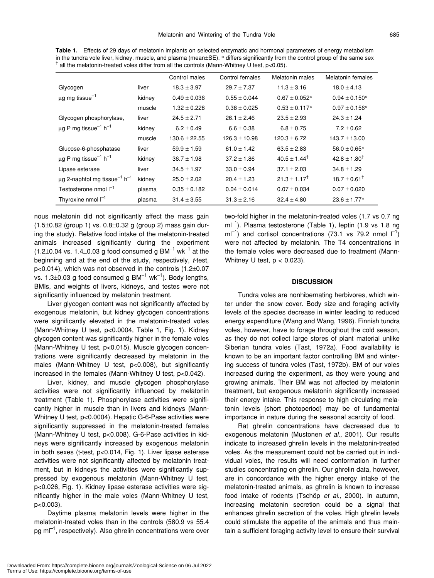|                                                                                                          | <b>Table 1.</b> Effects of 29 days of melatonin implants on selected enzymatic and hormonal parameters of energy metabolism          |  |  |  |  |  |
|----------------------------------------------------------------------------------------------------------|--------------------------------------------------------------------------------------------------------------------------------------|--|--|--|--|--|
|                                                                                                          | in the tundra vole liver, kidney, muscle, and plasma (mean $\pm$ SE). * differs significantly from the control group of the same sex |  |  |  |  |  |
| $\textsf{T}$ all the melatonin-treated voles differ from all the controls (Mann-Whitney U test, p<0.05). |                                                                                                                                      |  |  |  |  |  |

|                                                           |        | Control males     | Control females   | Melatonin males           | Melatonin females         |
|-----------------------------------------------------------|--------|-------------------|-------------------|---------------------------|---------------------------|
| Glycogen                                                  | liver  | $18.3 \pm 3.97$   | $29.7 \pm 7.37$   | $11.3 \pm 3.16$           | $18.0 \pm 4.13$           |
| $\mu$ g mg tissue <sup>-1</sup>                           | kidney | $0.49 \pm 0.036$  | $0.55 \pm 0.044$  | $0.67 \pm 0.052*$         | $0.94 \pm 0.150*$         |
|                                                           | muscle | $1.32 \pm 0.228$  | $0.38 \pm 0.025$  | $0.53 \pm 0.117*$         | $0.97 \pm 0.156*$         |
| Glycogen phosphorylase,                                   | liver  | $24.5 \pm 2.71$   | $26.1 \pm 2.46$   | $23.5 \pm 2.93$           | $24.3 \pm 1.24$           |
| $\mu$ g P mg tissue <sup>-1</sup> h <sup>-1</sup>         | kidney | $6.2 \pm 0.49$    | $6.6 \pm 0.38$    | $6.8 \pm 0.75$            | $7.2 \pm 0.62$            |
|                                                           | muscle | $130.6 \pm 22.55$ | $126.3 \pm 10.98$ | $120.3 \pm 6.72$          | $143.7 \pm 13.00$         |
| Glucose-6-phosphatase                                     | liver  | $59.9 \pm 1.59$   | $61.0 \pm 1.42$   | $63.5 \pm 2.83$           | $56.0 \pm 0.65*$          |
| $\mu$ g P mg tissue <sup>-1</sup> h <sup>-1</sup>         | kidney | $36.7 \pm 1.98$   | $37.2 \pm 1.86$   | $40.5 \pm 1.44^{\dagger}$ | $42.8 \pm 1.80^{\dagger}$ |
| Lipase esterase                                           | liver  | $34.5 \pm 1.97$   | $33.0 \pm 0.94$   | $37.1 \pm 2.03$           | $34.8 \pm 1.29$           |
| $\mu$ g 2-naphtol mg tissue <sup>-1</sup> h <sup>-1</sup> | kidney | $25.0 \pm 2.02$   | $20.4 \pm 1.23$   | $21.3 \pm 1.17^{\dagger}$ | $18.7 \pm 0.61^{\dagger}$ |
| Testosterone nmol $\Gamma$ <sup>1</sup>                   | plasma | $0.35 \pm 0.182$  | $0.04 \pm 0.014$  | $0.07 \pm 0.034$          | $0.07 \pm 0.020$          |
| Thyroxine nmol $I^{-1}$                                   | plasma | $31.4 \pm 3.55$   | $31.3 \pm 2.16$   | $32.4 \pm 4.80$           | $23.6 \pm 1.77*$          |

nous melatonin did not significantly affect the mass gain  $(1.5\pm0.82$  (group 1) vs.  $0.8\pm0.32$  g (group 2) mass gain during the study). Relative food intake of the melatonin-treated animals increased significantly during the experiment  $(1.2\pm0.04 \text{ vs. } 1.4\pm0.03 \text{ g food consumed g BM}^{-1} \text{ wk}^{-1} \text{ at the }$ beginning and at the end of the study, respectively, *t*-test, p<0.014), which was not observed in the controls (1.2±0.07 vs. 1.3 $\pm$ 0.03 g food consumed g BM<sup>-1</sup> wk<sup>-1</sup>). Body lengths, BMIs, and weights of livers, kidneys, and testes were not significantly influenced by melatonin treatment.

Liver glycogen content was not significantly affected by exogenous melatonin, but kidney glycogen concentrations were significantly elevated in the melatonin-treated voles (Mann-Whitney U test, p<0.0004, Table 1, Fig. 1). Kidney glycogen content was significantly higher in the female voles (Mann-Whitney U test, p<0.015). Muscle glycogen concentrations were significantly decreased by melatonin in the males (Mann-Whitney U test, p<0.008), but significantly increased in the females (Mann-Whitney U test, p<0.042).

Liver, kidney, and muscle glycogen phosphorylase activities were not significantly influenced by melatonin treatment (Table 1). Phosphorylase activities were significantly higher in muscle than in livers and kidneys (Mann-Whitney U test, p<0.0004). Hepatic G-6-Pase activities were significantly suppressed in the melatonin-treated females (Mann-Whitney U test, p<0.008). G-6-Pase activities in kidneys were significantly increased by exogenous melatonin in both sexes (t-test, p<0.014, Fig. 1). Liver lipase esterase activities were not significantly affected by melatonin treatment, but in kidneys the activities were significantly suppressed by exogenous melatonin (Mann-Whitney U test, p<0.026, Fig. 1). Kidney lipase esterase activities were significantly higher in the male voles (Mann-Whitney U test, p<0.003).

Daytime plasma melatonin levels were higher in the melatonin-treated voles than in the controls (580.9 vs 55.4 pg  $ml^{-1}$ , respectively). Also ghrelin concentrations were over two-fold higher in the melatonin-treated voles (1.7 vs 0.7 ng  $ml^{-1}$ ). Plasma testosterone (Table 1), leptin (1.9 vs 1.8 ng  $ml^{-1}$ ) and cortisol concentrations (73.1 vs 79.2 nmol  $l^{-1}$ ) were not affected by melatonin. The T4 concentrations in the female voles were decreased due to treatment (Mann-Whitney U test,  $p < 0.023$ ).

## **DISCUSSION**

Tundra voles are nonhibernating herbivores, which winter under the snow cover. Body size and foraging activity levels of the species decrease in winter leading to reduced energy expenditure (Wang and Wang, 1996). Finnish tundra voles, however, have to forage throughout the cold season, as they do not collect large stores of plant material unlike Siberian tundra voles (Tast, 1972a). Food availability is known to be an important factor controlling BM and wintering success of tundra voles (Tast, 1972b). BM of our voles increased during the experiment, as they were young and growing animals. Their BM was not affected by melatonin treatment, but exogenous melatonin significantly increased their energy intake. This response to high circulating melatonin levels (short photoperiod) may be of fundamental importance in nature during the seasonal scarcity of food.

Rat ghrelin concentrations have decreased due to exogenous melatonin (Mustonen *et al.,* 2001). Our results indicate to increased ghrelin levels in the melatonin-treated voles. As the measurement could not be carried out in individual voles, the results will need conformation in further studies concentrating on ghrelin. Our ghrelin data, however, are in concordance with the higher energy intake of the melatonin-treated animals, as ghrelin is known to increase food intake of rodents (Tschöp *et al.,* 2000). In autumn, increasing melatonin secretion could be a signal that enhances ghrelin secretion of the voles. High ghrelin levels could stimulate the appetite of the animals and thus maintain a sufficient foraging activity level to ensure their survival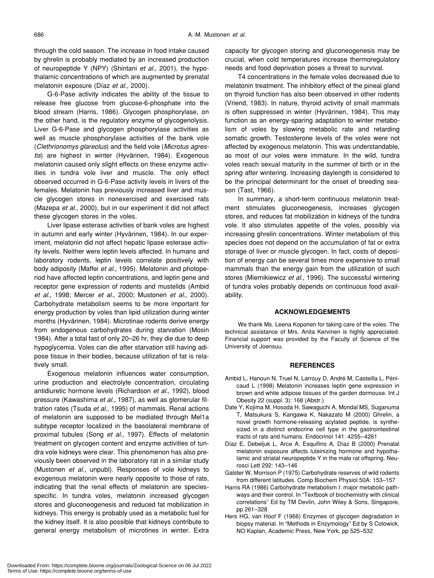through the cold season. The increase in food intake caused by ghrelin is probably mediated by an increased production of neuropeptide Y (NPY) (Shintani *et al.,* 2001), the hypothalamic concentrations of which are augmented by prenatal melatonin exposure (Díaz *et al.,* 2000).

G-6-Pase activity indicates the ability of the tissue to release free glucose from glucose-6-phosphate into the blood stream (Harris, 1986). Glycogen phosphorylase, on the other hand, is the regulatory enzyme of glycogenolysis. Liver G-6-Pase and glycogen phosphorylase activities as well as muscle phosphorylase activities of the bank vole (*Clethrionomys glareolus*) and the field vole (*Microtus agrestis*) are highest in winter (Hyvärinen, 1984). Exogenous melatonin caused only slight effects on these enzyme activities in tundra vole liver and muscle. The only effect observed occurred in G-6-Pase activity levels in livers of the females. Melatonin has previously increased liver and muscle glycogen stores in nonexercised and exercised rats (Mazepa *et al.,* 2000), but in our experiment it did not affect these glycogen stores in the voles.

Liver lipase esterase activities of bank voles are highest in autumn and early winter (Hyvärinen, 1984). In our experiment, melatonin did not affect hepatic lipase esterase activity levels. Neither were leptin levels affected. In humans and laboratory rodents, leptin levels correlate positively with body adiposity (Maffei *et al.,* 1995). Melatonin and photoperiod have affected leptin concentrations, and leptin gene and receptor gene expression of rodents and mustelids (Ambid *et al.,* 1998; Mercer *et al.,* 2000; Mustonen *et al.,* 2000). Carbohydrate metabolism seems to be more important for energy production by voles than lipid utilization during winter months (Hyvärinen, 1984). Microtinae rodents derive energy from endogenous carbohydrates during starvation (Mosin 1984). After a total fast of only 20–26 hr, they die due to deep hypoglycemia. Voles can die after starvation still having adipose tissue in their bodies, because utilization of fat is relatively small.

Exogenous melatonin influences water consumption, urine production and electrolyte concentration, circulating antidiuretic hormone levels (Richardson *et al.,* 1992), blood pressure (Kawashima *et al.,* 1987), as well as glomerular filtration rates (Tsuda *et al.,* 1995) of mammals. Renal actions of melatonin are supposed to be mediated through Mel1a subtype receptor localized in the basolateral membrane of proximal tubules (Song *et al.,* 1997). Effects of melatonin treatment on glycogen content and enzyme activities of tundra vole kidneys were clear. This phenomenon has also previously been observed in the laboratory rat in a similar study (Mustonen *et al.*, unpubl). Responses of vole kidneys to exogenous melatonin were nearly opposite to those of rats, indicating that the renal effects of melatonin are speciesspecific. In tundra voles, melatonin increased glycogen stores and gluconeogenesis and reduced fat mobilization in kidneys. This energy is probably used as a metabolic fuel for the kidney itself. It is also possible that kidneys contribute to general energy metabolism of microtines in winter. Extra

capacity for glycogen storing and gluconeogenesis may be crucial, when cold temperatures increase thermoregulatory needs and food deprivation poses a threat to survival.

T4 concentrations in the female voles decreased due to melatonin treatment. The inhibitory effect of the pineal gland on thyroid function has also been observed in other rodents (Vriend, 1983). In nature, thyroid activity of small mammals is often suppressed in winter (Hyvärinen, 1984). This may function as an energy-sparing adaptation to winter metabolism of voles by slowing metabolic rate and retarding somatic growth. Testosterone levels of the voles were not affected by exogenous melatonin. This was understandable, as most of our voles were immature. In the wild, tundra voles reach sexual maturity in the summer of birth or in the spring after wintering. Increasing daylength is considered to be the principal determinant for the onset of breeding season (Tast, 1966).

In summary, a short-term continuous melatonin treatment stimulates gluconeogenesis, increases glycogen stores, and reduces fat mobilization in kidneys of the tundra vole. It also stimulates appetite of the voles, possibly via increasing ghrelin concentrations. Winter metabolism of this species does not depend on the accumulation of fat or extra storage of liver or muscle glycogen. In fact, costs of deposition of energy can be several times more expensive to small mammals than the energy gain from the utilization of such stores (Miernikiewicz *et al.,* 1996). The successful wintering of tundra voles probably depends on continuous food availability.

#### **ACKNOWLEDGEMENTS**

We thank Ms. Leena Koponen for taking care of the voles. The technical assistance of Mrs. Anita Kervinen is highly appreciated. Financial support was provided by the Faculty of Science of the University of Joensuu.

#### **REFERENCES**

- Ambid L, Hanoun N, Truel N, Larrouy D, André M, Casteilla L, Pénicaud L (1998) Melatonin increases leptin gene expression in brown and white adipose tissues of the garden dormouse. Int J Obesity 22 (suppl. 3): 168 (Abstr.)
- Date Y, Kojima M, Hosoda H, Sawaguchi A, Mondal MS, Suganuma T, Matsukura S, Kangawa K, Nakazato M (2000) Ghrelin, a novel growth hormone-releasing acylated peptide, is synthesized in a distinct endocrine cell type in the gastrointestinal tracts of rats and humans. Endocrinol 141: 4255–4261
- Díaz E, Debeljuk L, Arce A, Esquifino A, Díaz B (2000) Prenatal melatonin exposure affects luteinizing hormone and hypothalamic and striatal neuropeptide Y in the male rat offspring. Neurosci Lett 292: 143–146
- Galster W, Morrison P (1975) Carbohydrate reserves of wild rodents from different latitudes. Comp Biochem Physiol 50A: 153–157
- Harris RA (1986) Carbohydrate metabolism I: major metabolic pathways and their control. In "Textbook of biochemistry with clinical correlations" Ed by TM Devlin, John Wiley & Sons, Singapore, pp 261–328
- Hers HG, van Hoof F (1966) Enzymes of glycogen degradation in biopsy material. In "Methods in Enzymology" Ed by S Colowick, NO Kaplan, Academic Press, New York, pp 525–532